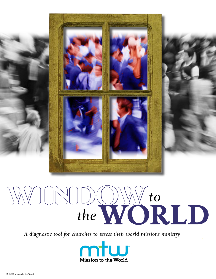

# **WINDOW***to the***WORLD**

*A diagnostic tool for churches to assess their world missions ministry* 

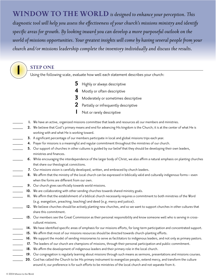**WINDOW TO THE WORLD** *is designed to enhance your perception. This diagnostic tool will help you assess the effectiveness of your church's missions ministry and identify specific areas for growth. By looking inward you can develop a more purposeful outlook on the world of missions opportunities. Your greatest insights will come by having several people from your church and/or missions leadership complete the inventory individually and discuss the results.*

**1 STEP ONE**<br>
Using the following scale, evaluate how well each statement describes your church:

- **5** Highly or always descriptive
- **4** Mostly or often descriptive
- **3** Moderately or sometimes descriptive
- **2** Partially or infrequently descriptive
	- **1** Not or rarely descriptive
- 1. We have an active, organized missions committee that leads and resources all our members and ministries.
- 2. We believe that God's primary means and end for advancing His kingdom is the Church; it is at the center of what He is working with and what He is working toward.
- **3.** A significant percentage of our members participate in local and global missions trips each year.
	- 4. Prayer for missions is a meaningful and regular commitment throughout the ministries of our church.
- **5.** Our support of churches in other cultures is guided by our belief that they should be developing their own leaders, ministries and finances.
- 6. While encouraging the interdependence of the larger body of Christ, we also affirm a natural emphasis on planting churches that share our theological convictions.
- **7.** Our missions vision is carefully developed, written, and embraced by church leaders.
- 8. We affirm that the ministry of the local church can be expressed in biblically valid and culturally indigenous forms—even when the forms are different from our own.
- 9. Our church gives sacrificially towards world missions.
- 10. We are collaborating with other sending churches towards shared ministry goals.
- \_\_\_\_\_ **11.** We affirm that the establishment of a biblical church necessarily requires a commitment to both ministries of the Word (e.g. evangelism, preaching, teaching) and deed (e.g. mercy and justice).
- 12. We believe churches should be actively planting new churches, and so we want to support churches in other cultures that share this commitment.
- 13. Our members see the Great Commission as their personal responsibility and know someone well who is serving in crosscultural missions.
- 14. We have identified specific areas of emphasis for our missions efforts, for long-term participation and concentrated support.
- 15. We affirm that most of our missions resources should be directed towards church-planting efforts.
- \_\_\_\_\_ **16.** We support the model of sending missionaries to serve as facilitators to indigenous leaders, and not only as primary pastors.
- 17. The leaders of our church are champions of missions, through their personal participation and public commitment.
- 18. We affirm the development of indigenous leaders and their primary role in the local church.
- 19. Our congregation is regularly learning about missions through such means as sermons, presentations and missions courses.
- 20. God has called the Church to be His primary instrument to evangelize people, extend mercy, and transform the culture around it; our preference is for such efforts to be ministries of the local church and not separate from it.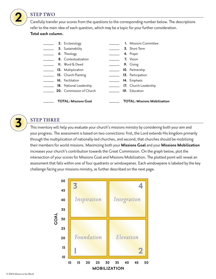

## **2 STEP TWO**

Carefully transfer your scores from the questions to the corresponding number below. The descriptions refer to the main idea of each question, which may be a topic for your further consideration.

## **Total each column.**

|                             |  | 2. Ecclesiology                              |  | <b>I.</b> Missions Committee        |
|-----------------------------|--|----------------------------------------------|--|-------------------------------------|
|                             |  | 5. Sustainability                            |  | 3. Short-Term                       |
|                             |  | 6. Theology                                  |  | 4. Prayer                           |
|                             |  | 8. Contextualization                         |  | 7. Vision                           |
|                             |  | $\mathsf{II.}$ Word $\overline{\alpha}$ Deed |  | 9. Giving                           |
|                             |  | 12. Multiplication                           |  | 10. Partnership                     |
|                             |  | 15. Church Planting                          |  | 13. Participation                   |
|                             |  | 16. Facilitation                             |  | 14. Emphasis                        |
|                             |  | 18. National Leadership                      |  | 17. Church Leadership               |
|                             |  | 20. Commission of Church                     |  | 19. Education                       |
| <b>TOTAL: Missions Goal</b> |  |                                              |  | <b>TOTAL: Missions Mobilization</b> |

**3 STEP THREE**<br>This inventory will help you evaluate your church's missions ministry by considering both your aim and your progress. The assessment is based on two convictions: first, the Lord extends His kingdom primarily through the multiplication of nationally-led churches, and second, that churches should be mobilizing their members for world missions. Maximizing both your **Missions Goal** and your **Missions Mobilization**  increases your church's contribution towards the Great Commission. On the graph below, plot the intersection of your scores for Missions Goal and Missions Mobilization. The plotted point will reveal an assessment that falls within one of four quadrants or windowpanes. Each windowpane is labeled by the key challenge facing your missions ministry, as further described on the next page.